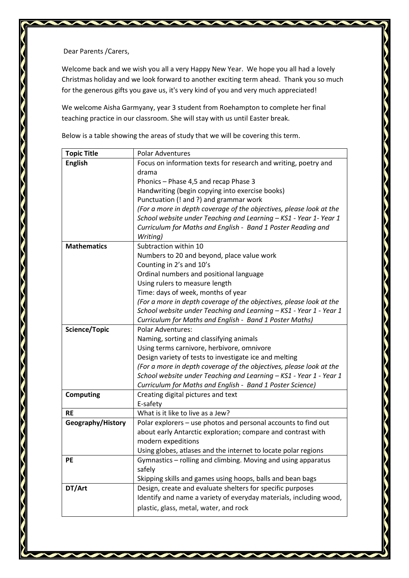Dear Parents /Carers,

Welcome back and we wish you all a very Happy New Year. We hope you all had a lovely Christmas holiday and we look forward to another exciting term ahead. Thank you so much for the generous gifts you gave us, it's very kind of you and very much appreciated!

We welcome Aisha Garmyany, year 3 student from Roehampton to complete her final teaching practice in our classroom. She will stay with us until Easter break.

Below is a table showing the areas of study that we will be covering this term.

| <b>Topic Title</b> | <b>Polar Adventures</b>                                             |  |  |  |  |
|--------------------|---------------------------------------------------------------------|--|--|--|--|
| <b>English</b>     | Focus on information texts for research and writing, poetry and     |  |  |  |  |
|                    | drama                                                               |  |  |  |  |
|                    | Phonics - Phase 4,5 and recap Phase 3                               |  |  |  |  |
|                    | Handwriting (begin copying into exercise books)                     |  |  |  |  |
|                    | Punctuation (! and ?) and grammar work                              |  |  |  |  |
|                    | (For a more in depth coverage of the objectives, please look at the |  |  |  |  |
|                    | School website under Teaching and Learning - KS1 - Year 1- Year 1   |  |  |  |  |
|                    | Curriculum for Maths and English - Band 1 Poster Reading and        |  |  |  |  |
|                    | Writing)                                                            |  |  |  |  |
| <b>Mathematics</b> | Subtraction within 10                                               |  |  |  |  |
|                    | Numbers to 20 and beyond, place value work                          |  |  |  |  |
|                    | Counting in 2's and 10's                                            |  |  |  |  |
|                    | Ordinal numbers and positional language                             |  |  |  |  |
|                    | Using rulers to measure length                                      |  |  |  |  |
|                    | Time: days of week, months of year                                  |  |  |  |  |
|                    | (For a more in depth coverage of the objectives, please look at the |  |  |  |  |
|                    | School website under Teaching and Learning - KS1 - Year 1 - Year 1  |  |  |  |  |
|                    | Curriculum for Maths and English - Band 1 Poster Maths)             |  |  |  |  |
| Science/Topic      | <b>Polar Adventures:</b>                                            |  |  |  |  |
|                    | Naming, sorting and classifying animals                             |  |  |  |  |
|                    | Using terms carnivore, herbivore, omnivore                          |  |  |  |  |
|                    | Design variety of tests to investigate ice and melting              |  |  |  |  |
|                    | (For a more in depth coverage of the objectives, please look at the |  |  |  |  |
|                    | School website under Teaching and Learning - KS1 - Year 1 - Year 1  |  |  |  |  |
|                    | Curriculum for Maths and English - Band 1 Poster Science)           |  |  |  |  |
| <b>Computing</b>   | Creating digital pictures and text                                  |  |  |  |  |
|                    | E-safety                                                            |  |  |  |  |
| <b>RE</b>          | What is it like to live as a Jew?                                   |  |  |  |  |
| Geography/History  | Polar explorers - use photos and personal accounts to find out      |  |  |  |  |
|                    | about early Antarctic exploration; compare and contrast with        |  |  |  |  |
|                    | modern expeditions                                                  |  |  |  |  |
|                    | Using globes, atlases and the internet to locate polar regions      |  |  |  |  |
| PE                 | Gymnastics - rolling and climbing. Moving and using apparatus       |  |  |  |  |
|                    | safely                                                              |  |  |  |  |
|                    | Skipping skills and games using hoops, balls and bean bags          |  |  |  |  |
| DT/Art             | Design, create and evaluate shelters for specific purposes          |  |  |  |  |
|                    | Identify and name a variety of everyday materials, including wood,  |  |  |  |  |
|                    | plastic, glass, metal, water, and rock                              |  |  |  |  |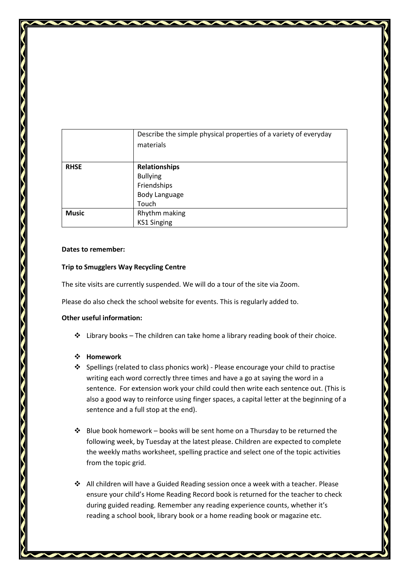|              | Describe the simple physical properties of a variety of everyday<br>materials |  |  |  |
|--------------|-------------------------------------------------------------------------------|--|--|--|
|              |                                                                               |  |  |  |
| <b>RHSE</b>  | Relationships                                                                 |  |  |  |
|              | <b>Bullying</b>                                                               |  |  |  |
|              | Friendships                                                                   |  |  |  |
|              | <b>Body Language</b>                                                          |  |  |  |
|              | Touch                                                                         |  |  |  |
| <b>Music</b> | Rhythm making                                                                 |  |  |  |
|              | <b>KS1 Singing</b>                                                            |  |  |  |

## **Dates to remember:**

## **Trip to Smugglers Way Recycling Centre**

The site visits are currently suspended. We will do a tour of the site via Zoom.

Please do also check the school website for events. This is regularly added to.

## **Other useful information:**

 $\cdot \cdot$  Library books – The children can take home a library reading book of their choice.

## **Homework**

- $\div$  Spellings (related to class phonics work) Please encourage your child to practise writing each word correctly three times and have a go at saying the word in a sentence. For extension work your child could then write each sentence out. (This is also a good way to reinforce using finger spaces, a capital letter at the beginning of a sentence and a full stop at the end).
- $\div$  Blue book homework books will be sent home on a Thursday to be returned the following week, by Tuesday at the latest please. Children are expected to complete the weekly maths worksheet, spelling practice and select one of the topic activities from the topic grid.
- All children will have a Guided Reading session once a week with a teacher. Please ensure your child's Home Reading Record book is returned for the teacher to check during guided reading. Remember any reading experience counts, whether it's reading a school book, library book or a home reading book or magazine etc.